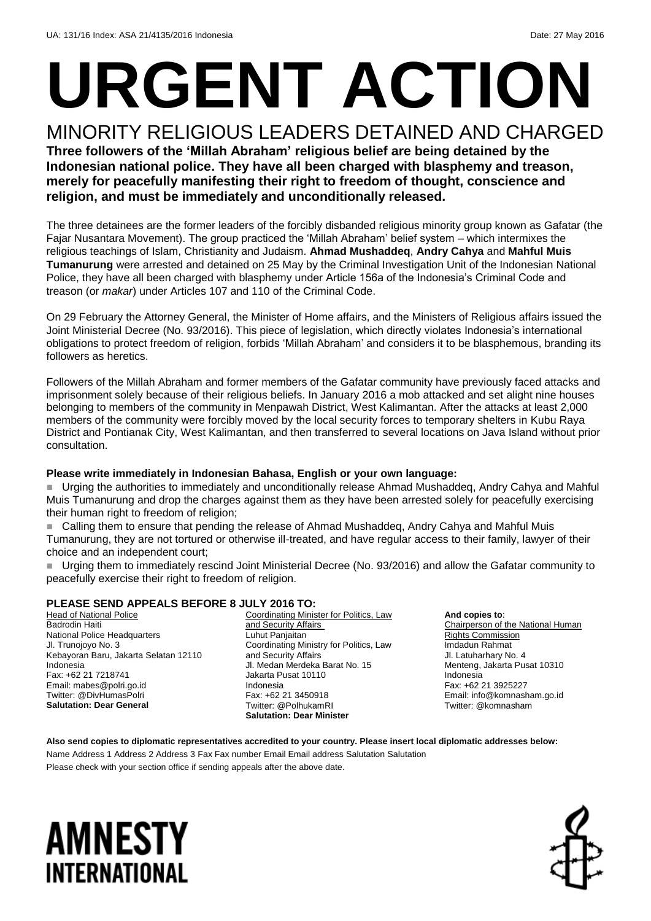# **URGENT ACTION**

#### MINORITY RELIGIOUS LEADERS DETAINED AND CHARGED **Three followers of the 'Millah Abraham' religious belief are being detained by the Indonesian national police. They have all been charged with blasphemy and treason, merely for peacefully manifesting their right to freedom of thought, conscience and religion, and must be immediately and unconditionally released.**

The three detainees are the former leaders of the forcibly disbanded religious minority group known as Gafatar (the Fajar Nusantara Movement). The group practiced the 'Millah Abraham' belief system – which intermixes the religious teachings of Islam, Christianity and Judaism. **Ahmad Mushaddeq**, **Andry Cahya** and **Mahful Muis Tumanurung** were arrested and detained on 25 May by the Criminal Investigation Unit of the Indonesian National Police, they have all been charged with blasphemy under Article 156a of the Indonesia's Criminal Code and treason (or *makar*) under Articles 107 and 110 of the Criminal Code.

On 29 February the Attorney General, the Minister of Home affairs, and the Ministers of Religious affairs issued the Joint Ministerial Decree (No. 93/2016). This piece of legislation, which directly violates Indonesia's international obligations to protect freedom of religion, forbids 'Millah Abraham' and considers it to be blasphemous, branding its followers as heretics.

Followers of the Millah Abraham and former members of the Gafatar community have previously faced attacks and imprisonment solely because of their religious beliefs. In January 2016 a mob attacked and set alight nine houses belonging to members of the community in Menpawah District, West Kalimantan. After the attacks at least 2,000 members of the community were forcibly moved by the local security forces to temporary shelters in Kubu Raya District and Pontianak City, West Kalimantan, and then transferred to several locations on Java Island without prior consultation.

#### **Please write immediately in Indonesian Bahasa, English or your own language:**

 Urging the authorities to immediately and unconditionally release Ahmad Mushaddeq, Andry Cahya and Mahful Muis Tumanurung and drop the charges against them as they have been arrested solely for peacefully exercising their human right to freedom of religion;

 Calling them to ensure that pending the release of Ahmad Mushaddeq, Andry Cahya and Mahful Muis Tumanurung, they are not tortured or otherwise ill-treated, and have regular access to their family, lawyer of their choice and an independent court;

 Urging them to immediately rescind Joint Ministerial Decree (No. 93/2016) and allow the Gafatar community to peacefully exercise their right to freedom of religion.

#### **PLEASE SEND APPEALS BEFORE 8 JULY 2016 TO:**

**Head of National Police** Badrodin Haiti National Police Headquarters Jl. Trunojoyo No. 3 Kebayoran Baru, Jakarta Selatan 12110 Indonesia Fax: +62 21 7218741 Email: mabes@polri.go.id Twitter: @DivHumasPolri **Salutation: Dear General**

Coordinating Minister for Politics, Law and Security Affairs Luhut Panjaitan Coordinating Ministry for Politics, Law and Security Affairs Jl. Medan Merdeka Barat No. 15 Jakarta Pusat 10110 Indonesia Fax: +62 21 3450918 Twitter: @PolhukamRI **Salutation: Dear Minister**

**And copies to**: Chairperson of the National Human Rights Commission Imdadun Rahmat Jl. Latuharhary No. 4 Menteng, Jakarta Pusat 10310 Indonesia Fax: +62 21 3925227 Email: info@komnasham.go.id Twitter: @komnasham

**Also send copies to diplomatic representatives accredited to your country. Please insert local diplomatic addresses below:** Name Address 1 Address 2 Address 3 Fax Fax number Email Email address Salutation Salutation Please check with your section office if sending appeals after the above date.